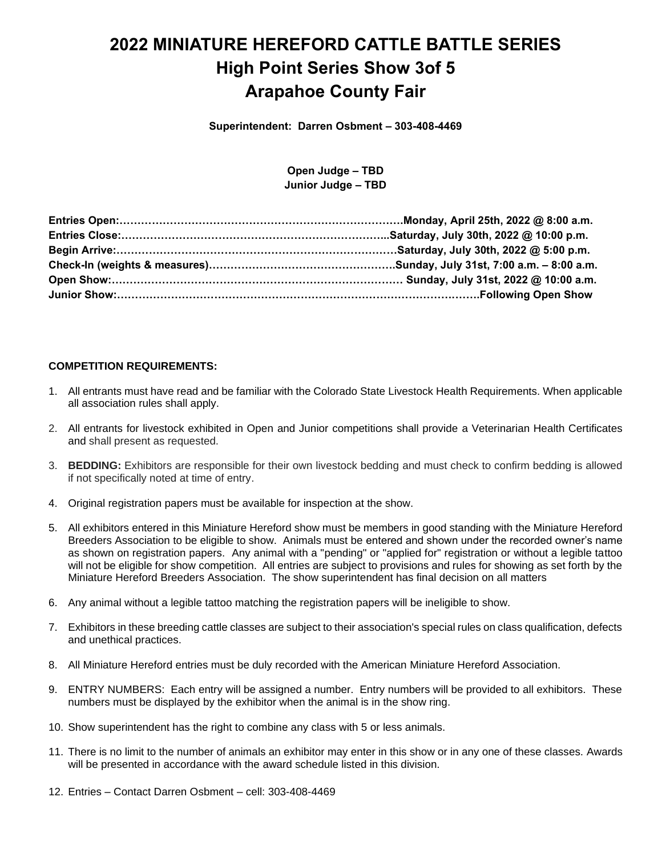# **2022 MINIATURE HEREFORD CATTLE BATTLE SERIES High Point Series Show 3of 5 Arapahoe County Fair**

**Superintendent: Darren Osbment – 303-408-4469**

**Open Judge – TBD Junior Judge – TBD**

#### **COMPETITION REQUIREMENTS:**

- 1. All entrants must have read and be familiar with the Colorado State Livestock Health Requirements. When applicable all association rules shall apply.
- 2. All entrants for livestock exhibited in Open and Junior competitions shall provide a Veterinarian Health Certificates and shall present as requested.
- 3. **BEDDING:** Exhibitors are responsible for their own livestock bedding and must check to confirm bedding is allowed if not specifically noted at time of entry.
- 4. Original registration papers must be available for inspection at the show.
- 5. All exhibitors entered in this Miniature Hereford show must be members in good standing with the Miniature Hereford Breeders Association to be eligible to show. Animals must be entered and shown under the recorded owner's name as shown on registration papers. Any animal with a "pending" or "applied for" registration or without a legible tattoo will not be eligible for show competition. All entries are subject to provisions and rules for showing as set forth by the Miniature Hereford Breeders Association. The show superintendent has final decision on all matters
- 6. Any animal without a legible tattoo matching the registration papers will be ineligible to show.
- 7. Exhibitors in these breeding cattle classes are subject to their association's special rules on class qualification, defects and unethical practices.
- 8. All Miniature Hereford entries must be duly recorded with the American Miniature Hereford Association.
- 9. ENTRY NUMBERS: Each entry will be assigned a number. Entry numbers will be provided to all exhibitors. These numbers must be displayed by the exhibitor when the animal is in the show ring.
- 10. Show superintendent has the right to combine any class with 5 or less animals.
- 11. There is no limit to the number of animals an exhibitor may enter in this show or in any one of these classes. Awards will be presented in accordance with the award schedule listed in this division.
- 12. Entries Contact Darren Osbment cell: 303-408-4469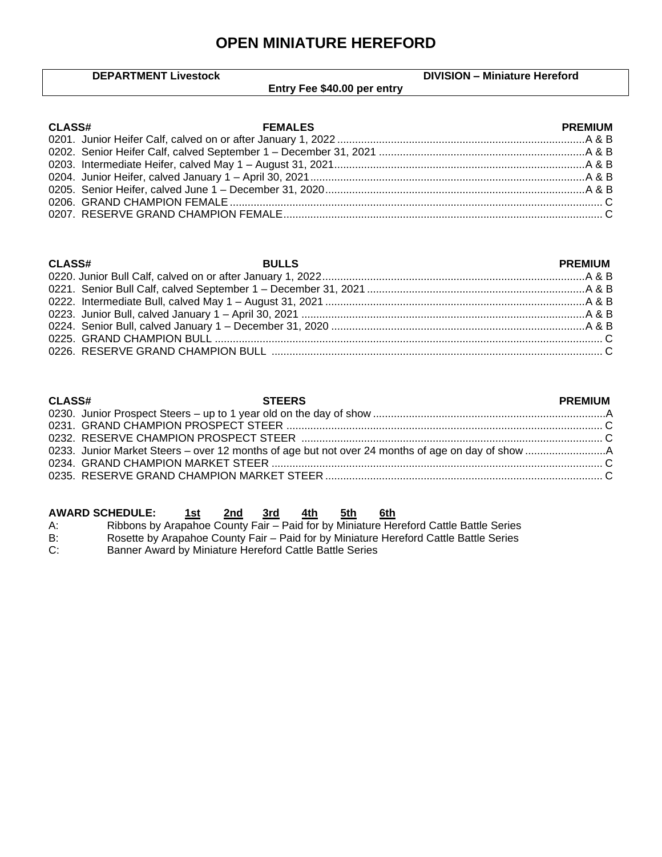# **OPEN MINIATURE HEREFORD**

|               | <b>DEPARTMENT Livestock</b> | <b>DIVISION - Miniature Hereford</b> |
|---------------|-----------------------------|--------------------------------------|
|               | Entry Fee \$40.00 per entry |                                      |
|               |                             |                                      |
| <b>CLASS#</b> | <b>FEMALES</b>              | <b>PREMIUM</b>                       |
|               |                             |                                      |
|               |                             |                                      |
|               |                             |                                      |
|               |                             |                                      |

| <b>CLASS#</b> | <b>Example 2018 STEERS</b> | <b>PREMIUM</b> |
|---------------|----------------------------|----------------|
|               |                            |                |
|               |                            |                |
|               |                            |                |
|               |                            |                |
|               |                            |                |
|               |                            |                |

|    | <b>AWARD SCHEDULE:</b>                                                                | 1st | 2nd 3rd | 4th | 5th | 6th |  |  |
|----|---------------------------------------------------------------------------------------|-----|---------|-----|-----|-----|--|--|
| A: | Ribbons by Arapahoe County Fair - Paid for by Miniature Hereford Cattle Battle Series |     |         |     |     |     |  |  |

B: Rosette by Arapahoe County Fair – Paid for by Miniature Hereford Cattle Battle Series

C: Banner Award by Miniature Hereford Cattle Battle Series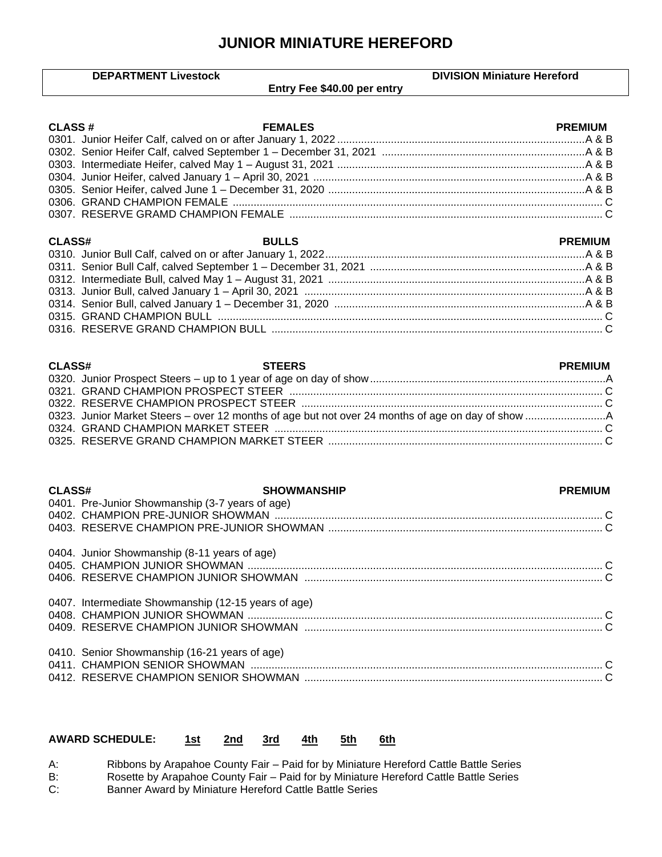### **JUNIOR MINIATURE HEREFORD**

 $\mathsf{l}$ 

|               | <b>DEPARTMENT Livestock</b>                         | <b>DIVISION Miniature Hereford</b> |
|---------------|-----------------------------------------------------|------------------------------------|
|               | Entry Fee \$40.00 per entry                         |                                    |
|               |                                                     |                                    |
| <b>CLASS#</b> | <b>FEMALES</b>                                      | <b>PREMIUM</b>                     |
|               |                                                     |                                    |
|               |                                                     |                                    |
|               |                                                     |                                    |
|               |                                                     |                                    |
|               |                                                     |                                    |
|               |                                                     |                                    |
|               |                                                     |                                    |
|               |                                                     |                                    |
| <b>CLASS#</b> | <b>BULLS</b>                                        | <b>PREMIUM</b>                     |
|               |                                                     |                                    |
|               |                                                     |                                    |
|               |                                                     |                                    |
|               |                                                     |                                    |
|               |                                                     |                                    |
|               |                                                     |                                    |
|               |                                                     |                                    |
|               |                                                     |                                    |
|               |                                                     |                                    |
| <b>CLASS#</b> | <b>STEERS</b>                                       | <b>PREMIUM</b>                     |
|               |                                                     |                                    |
|               |                                                     |                                    |
|               |                                                     |                                    |
|               |                                                     |                                    |
|               |                                                     |                                    |
|               |                                                     |                                    |
|               |                                                     |                                    |
| <b>CLASS#</b> | <b>SHOWMANSHIP</b>                                  | <b>PREMIUM</b>                     |
|               | 0401. Pre-Junior Showmanship (3-7 years of age)     |                                    |
|               |                                                     |                                    |
|               |                                                     |                                    |
|               |                                                     |                                    |
|               | 0404. Junior Showmanship (8-11 years of age)        |                                    |
|               |                                                     |                                    |
|               |                                                     |                                    |
|               | 0407. Intermediate Showmanship (12-15 years of age) |                                    |
|               |                                                     |                                    |
|               |                                                     |                                    |
|               |                                                     |                                    |
|               | 0410. Senior Showmanship (16-21 years of age)       |                                    |
|               |                                                     |                                    |
|               |                                                     |                                    |

#### **AWARD SCHEDULE: 1st 2nd 3rd 4th 5th 6th**

A: Ribbons by Arapahoe County Fair – Paid for by Miniature Hereford Cattle Battle Series

B: Rosette by Arapahoe County Fair – Paid for by Miniature Hereford Cattle Battle Series

C: Banner Award by Miniature Hereford Cattle Battle Series